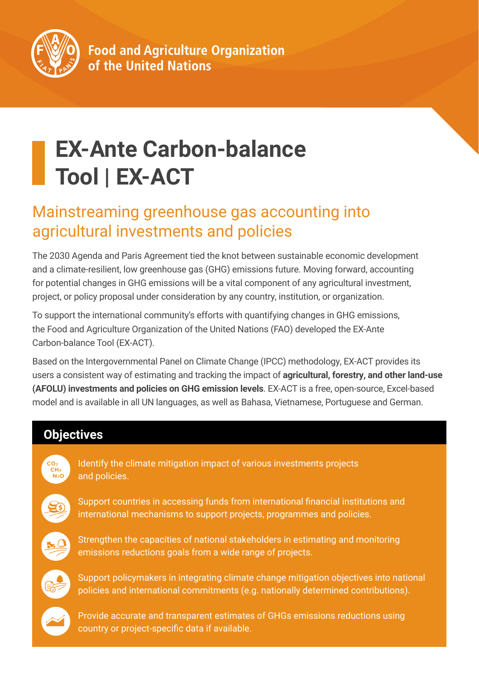

# **EX-Ante Carbon-balance Tool | EX-ACT**

## Mainstreaming greenhouse gas accounting into agricultural investments and policies

The 2030 Agenda and Paris Agreement tied the knot between sustainable economic development and a climate-resilient, low greenhouse gas (GHG) emissions future. Moving forward, accounting for potential changes in GHG emissions will be a vital component of any agricultural investment, project, or policy proposal under consideration by any country, institution, or organization.

To support the international community's efforts with quantifying changes in GHG emissions, the Food and Agriculture Organization of the United Nations (FAO) developed the EX-Ante Carbon-balance Tool (EX-ACT).

Based on the Intergovernmental Panel on Climate Change (IPCC) methodology, EX-ACT provides its users a consistent way of estimating and tracking the impact of **agricultural, forestry, and other land-use (AFOLU) investments and policies on GHG emission levels**. EX-ACT is a free, open-source, Excel-based model and is available in all UN languages, as well as Bahasa, Vietnamese, Portuguese and German.

### **Objectives**

Identify the climate mitigation impact of various investments projects and policies.



Support countries in accessing funds from international financial institutions and international mechanisms to support projects, programmes and policies.



Strengthen the capacities of national stakeholders in estimating and monitoring emissions reductions goals from a wide range of projects.



Support policymakers in integrating climate change mitigation objectives into national policies and international commitments (e.g. nationally determined contributions).



Provide accurate and transparent estimates of GHGs emissions reductions using country or project-specific data if available.